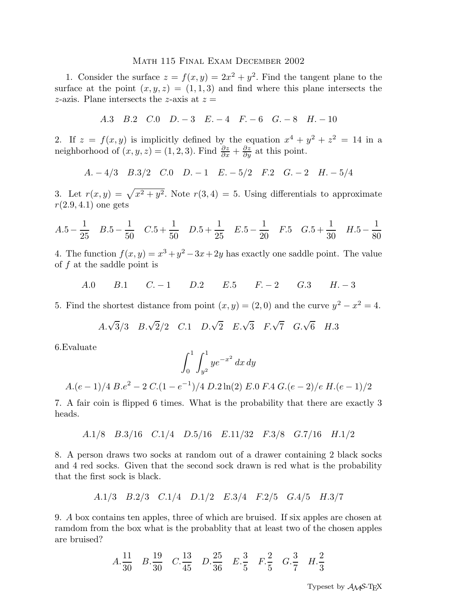## Math 115 Final Exam December 2002

1. Consider the surface  $z = f(x, y) = 2x^2 + y^2$ . Find the tangent plane to the surface at the point  $(x, y, z) = (1, 1, 3)$  and find where this plane intersects the z-azis. Plane intersects the z-axis at  $z =$ 

A.3 B.2 C.0 D. − 3 E. − 4 F. − 6 G. − 8 H. − 10

2. If  $z = f(x, y)$  is implicitly defined by the equation  $x^4 + y^2 + z^2 = 14$  in a neighborhood of  $(x, y, z) = (1, 2, 3)$ . Find  $\frac{\partial z}{\partial x} + \frac{\partial z}{\partial y}$  $\frac{\partial z}{\partial y}$  at this point.

$$
A. -4/3 \quad B.3/2 \quad C.0 \quad D. -1 \quad E. -5/2 \quad F.2 \quad G. -2 \quad H. -5/4
$$

3. Let  $r(x,y) = \sqrt{x^2 + y^2}$ . Note  $r(3,4) = 5$ . Using differentials to approximate  $r(2.9, 4.1)$  one gets

$$
A.5 - \frac{1}{25} \quad B.5 - \frac{1}{50} \quad C.5 + \frac{1}{50} \quad D.5 + \frac{1}{25} \quad E.5 - \frac{1}{20} \quad F.5 \quad G.5 + \frac{1}{30} \quad H.5 - \frac{1}{80}
$$

4. The function  $f(x, y) = x^3 + y^2 - 3x + 2y$  has exactly one saddle point. The value of f at the saddle point is

A.0 B.1 C. − 1 D.2 E.5 F. − 2 G.3 H. − 3

5. Find the shortest distance from point  $(x, y) = (2, 0)$  and the curve  $y^2 - x^2 = 4$ .

$$
A.\sqrt{3}/3
$$
  $B.\sqrt{2}/2$   $C.1$   $D.\sqrt{2}$   $E.\sqrt{3}$   $F.\sqrt{7}$   $G.\sqrt{6}$   $H.3$ 

6.Evaluate

$$
\int_0^1 \int_{y^2}^1 y e^{-x^2} \, dx \, dy
$$

$$
A.(e-1)/4 B.e2 - 2 C.(1 - e-1)/4 D.2 \ln(2) E.0 F.4 G.(e-2)/e H.(e-1)/2
$$

7. A fair coin is flipped 6 times. What is the probability that there are exactly 3 heads.

$$
A.1/8
$$
  $B.3/16$   $C.1/4$   $D.5/16$   $E.11/32$   $F.3/8$   $G.7/16$   $H.1/2$ 

8. A person draws two socks at random out of a drawer containing 2 black socks and 4 red socks. Given that the second sock drawn is red what is the probability that the first sock is black.

A.1/3 B.2/3 C.1/4 D.1/2 E.3/4 F.2/5 G.4/5 H.3/7

9. A box contains ten apples, three of which are bruised. If six apples are chosen at ramdom from the box what is the probablity that at least two of the chosen apples are bruised?

$$
A.\frac{11}{30} \quad B.\frac{19}{30} \quad C.\frac{13}{45} \quad D.\frac{25}{36} \quad E.\frac{3}{5} \quad F.\frac{2}{5} \quad G.\frac{3}{7} \quad H.\frac{2}{3}
$$

Typeset by  $A\mathcal{M}S$ -TFX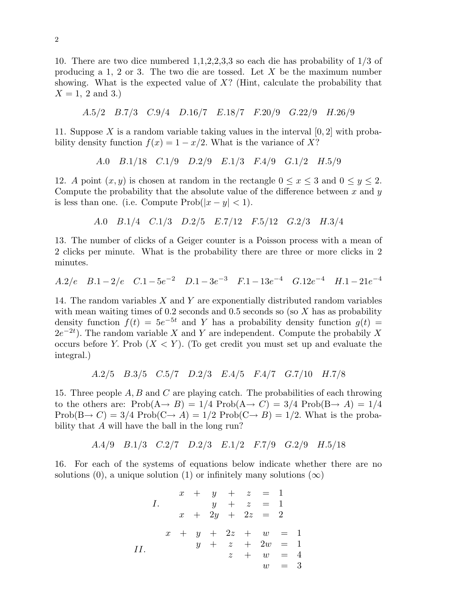10. There are two dice numbered 1,1,2,2,3,3 so each die has probability of 1/3 of producing a 1, 2 or 3. The two die are tossed. Let X be the maximum number showing. What is the expected value of  $X$ ? (Hint, calculate the probability that  $X = 1, 2$  and 3.)

$$
A.5/2
$$
  $B.7/3$   $C.9/4$   $D.16/7$   $E.18/7$   $F.20/9$   $G.22/9$   $H.26/9$ 

11. Suppose X is a random variable taking values in the interval  $[0, 2]$  with probability density function  $f(x) = 1 - x/2$ . What is the variance of X?

A.0 
$$
B.1/18
$$
 C.1/9  $D.2/9$  E.1/3  $F.4/9$  G.1/2  $H.5/9$ 

12. A point  $(x, y)$  is chosen at random in the rectangle  $0 \le x \le 3$  and  $0 \le y \le 2$ . Compute the probability that the absolute value of the difference between  $x$  and  $y$ is less than one. (i.e. Compute  $\text{Prob}(|x-y| < 1)$ .

A.0 
$$
B.1/4
$$
 C.1/3  $D.2/5$  E.7/12  $F.5/12$  G.2/3  $H.3/4$ 

13. The number of clicks of a Geiger counter is a Poisson process with a mean of 2 clicks per minute. What is the probability there are three or more clicks in 2 minutes.

$$
A.2/e \quad B.1-2/e \quad C.1-5e^{-2} \quad D.1-3e^{-3} \quad F.1-13e^{-4} \quad G.12e^{-4} \quad H.1-21e^{-4}
$$

14. The random variables  $X$  and  $Y$  are exponentially distributed random variables with mean waiting times of  $0.2$  seconds and  $0.5$  seconds so (so X has as probability density function  $f(t) = 5e^{-5t}$  and Y has a probability density function  $g(t) =$  $(2e^{-2t})$ . The random variable X and Y are independent. Compute the probabily X occurs before Y. Prob  $(X \le Y)$ . (To get credit you must set up and evaluate the integral.)

$$
A.2/5 \quad B.3/5 \quad C.5/7 \quad D.2/3 \quad E.4/5 \quad F.4/7 \quad G.7/10 \quad H.7/8
$$

15. Three people  $A, B$  and  $C$  are playing catch. The probabilities of each throwing to the others are:  $Prob(A \rightarrow B) = 1/4 Prob(A \rightarrow C) = 3/4 Prob(B \rightarrow A) = 1/4$  $Prob(B \rightarrow C) = 3/4 Prob(C \rightarrow A) = 1/2 Prob(C \rightarrow B) = 1/2$ . What is the probability that A will have the ball in the long run?

A.4/9 B.1/3 C.2/7 D.2/3 E.1/2 F.7/9 G.2/9 H.5/18

16. For each of the systems of equations below indicate whether there are no solutions (0), a unique solution (1) or infinitely many solutions  $(\infty)$ 

*I.* 
$$
x + y + z = 1
$$
  
\n*x* + 2*y* + *z* = 1  
\n*x* + 2*y* + 2*z* = 2  
\n*x* + *y* + 2*z* + *w* = 1  
\n*y* + *z* + 2*w* = 1  
\n*z* + *w* = 4  
\n*w* = 3